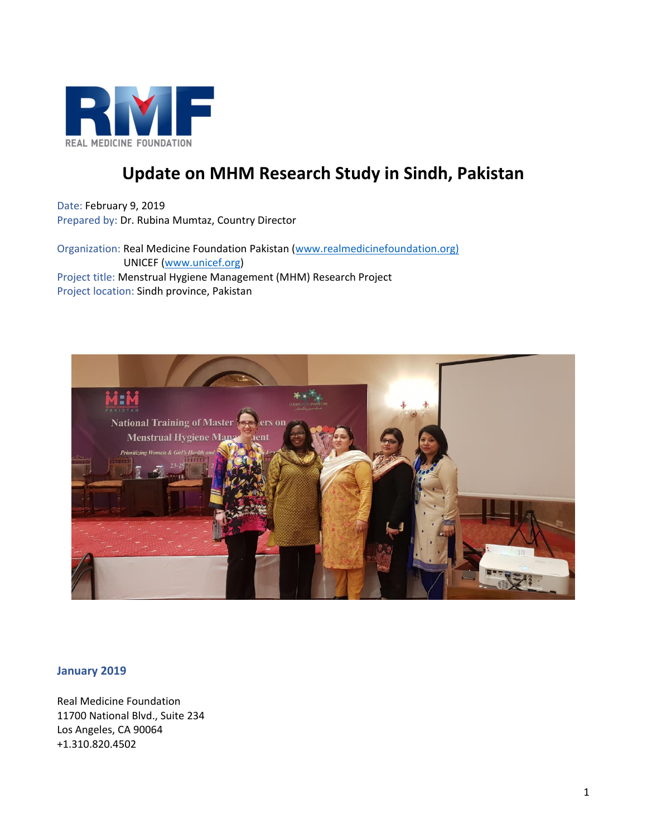

# **Update on MHM Research Study in Sindh, Pakistan**

Date: February 9, 2019 Prepared by: Dr. Rubina Mumtaz, Country Director

Organization: Real Medicine Foundation Pakistan [\(www.realmedicinefoundation.org\)](http://www.realmedicinefoundation.org)/) UNICEF [\(www.unicef.org\)](http://www.unicef.org/) Project title: Menstrual Hygiene Management (MHM) Research Project Project location: Sindh province, Pakistan



### **January 2019**

Real Medicine Foundation 11700 National Blvd., Suite 234 Los Angeles, CA 90064 +1.310.820.4502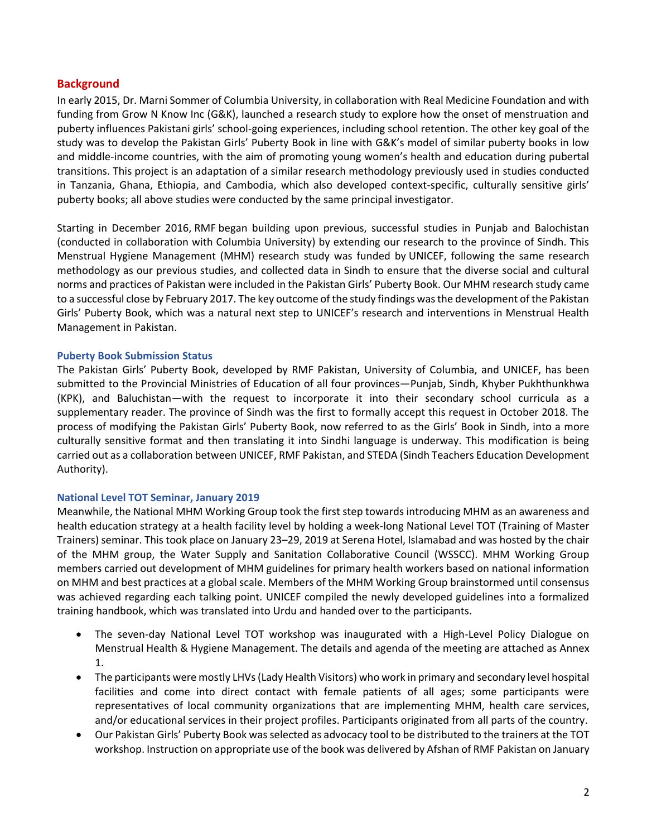### **Background**

In early 2015, Dr. Marni Sommer of Columbia University, in collaboration with Real Medicine Foundation and with funding from Grow N Know Inc (G&K), launched a research study to explore how the onset of menstruation and puberty influences Pakistani girls' school-going experiences, including school retention. The other key goal of the study was to develop the Pakistan Girls' Puberty Book in line with G&K's model of similar puberty books in low and middle-income countries, with the aim of promoting young women's health and education during pubertal transitions. This project is an adaptation of a similar research methodology previously used in studies conducted in Tanzania, Ghana, Ethiopia, and Cambodia, which also developed context-specific, culturally sensitive girls' puberty books; all above studies were conducted by the same principal investigator.

Starting in December 2016, RMF began building upon previous, successful studies in Punjab and Balochistan (conducted in collaboration with Columbia University) by extending our research to the province of Sindh. This Menstrual Hygiene Management (MHM) research study was funded by UNICEF, following the same research methodology as our previous studies, and collected data in Sindh to ensure that the diverse social and cultural norms and practices of Pakistan were included in the Pakistan Girls' Puberty Book. Our MHM research study came to a successful close by February 2017. The key outcome of the study findings was the development of the Pakistan Girls' Puberty Book, which was a natural next step to UNICEF's research and interventions in Menstrual Health Management in Pakistan.

### **Puberty Book Submission Status**

The Pakistan Girls' Puberty Book, developed by RMF Pakistan, University of Columbia, and UNICEF, has been submitted to the Provincial Ministries of Education of all four provinces—Punjab, Sindh, Khyber Pukhthunkhwa (KPK), and Baluchistan—with the request to incorporate it into their secondary school curricula as a supplementary reader. The province of Sindh was the first to formally accept this request in October 2018. The process of modifying the Pakistan Girls' Puberty Book, now referred to as the Girls' Book in Sindh, into a more culturally sensitive format and then translating it into Sindhi language is underway. This modification is being carried out as a collaboration between UNICEF, RMF Pakistan, and STEDA (Sindh Teachers Education Development Authority).

### **National Level TOT Seminar, January 2019**

Meanwhile, the National MHM Working Group took the first step towards introducing MHM as an awareness and health education strategy at a health facility level by holding a week-long National Level TOT (Training of Master Trainers) seminar. This took place on January 23–29, 2019 at Serena Hotel, Islamabad and was hosted by the chair of the MHM group, the Water Supply and Sanitation Collaborative Council (WSSCC). MHM Working Group members carried out development of MHM guidelines for primary health workers based on national information on MHM and best practices at a global scale. Members of the MHM Working Group brainstormed until consensus was achieved regarding each talking point. UNICEF compiled the newly developed guidelines into a formalized training handbook, which was translated into Urdu and handed over to the participants.

- The seven-day National Level TOT workshop was inaugurated with a High-Level Policy Dialogue on Menstrual Health & Hygiene Management. The details and agenda of the meeting are attached as Annex 1.
- The participants were mostly LHVs(Lady Health Visitors) who work in primary and secondary level hospital facilities and come into direct contact with female patients of all ages; some participants were representatives of local community organizations that are implementing MHM, health care services, and/or educational services in their project profiles. Participants originated from all parts of the country.
- Our Pakistan Girls' Puberty Book was selected as advocacy tool to be distributed to the trainers at the TOT workshop. Instruction on appropriate use of the book was delivered by Afshan of RMF Pakistan on January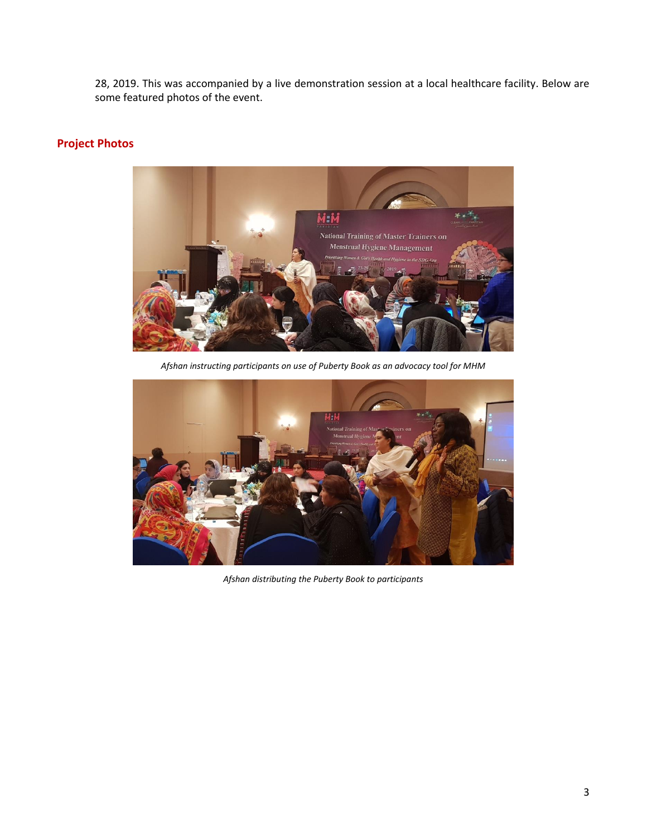28, 2019. This was accompanied by a live demonstration session at a local healthcare facility. Below are some featured photos of the event.

# **Project Photos**



*Afshan instructing participants on use of Puberty Book as an advocacy tool for MHM*



*Afshan distributing the Puberty Book to participants*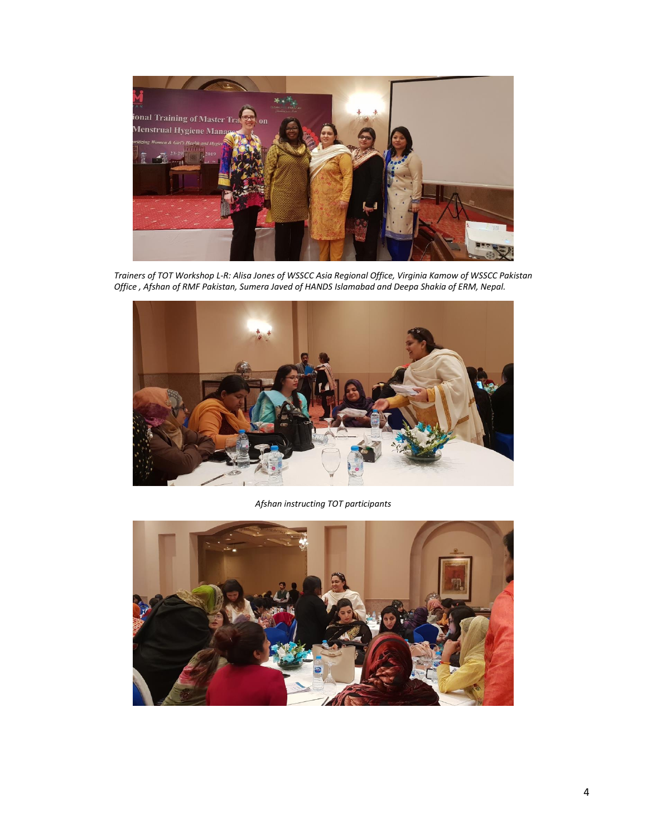

*Trainers of TOT Workshop L-R: Alisa Jones of WSSCC Asia Regional Office, Virginia Kamow of WSSCC Pakistan Office , Afshan of RMF Pakistan, Sumera Javed of HANDS Islamabad and Deepa Shakia of ERM, Nepal.*



*Afshan instructing TOT participants*

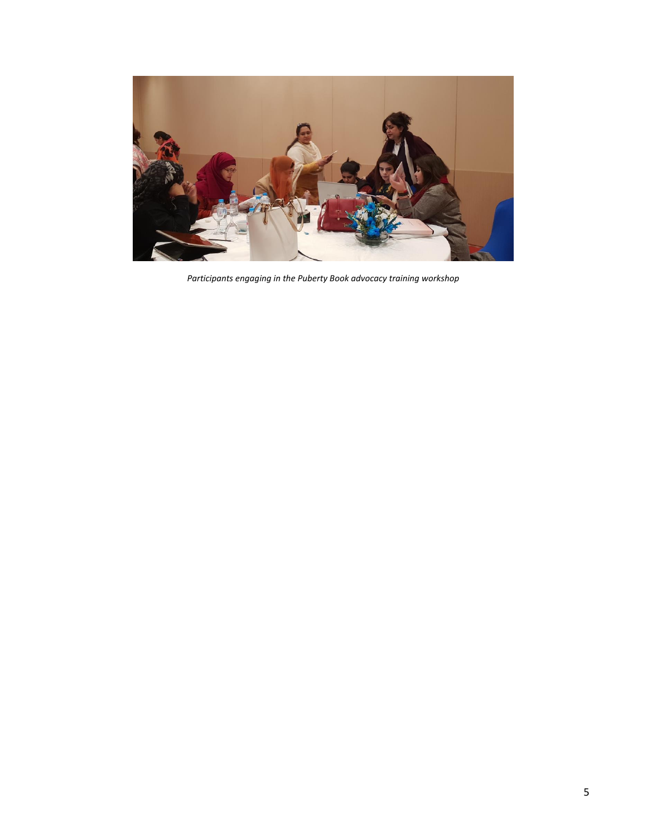

*Participants engaging in the Puberty Book advocacy training workshop*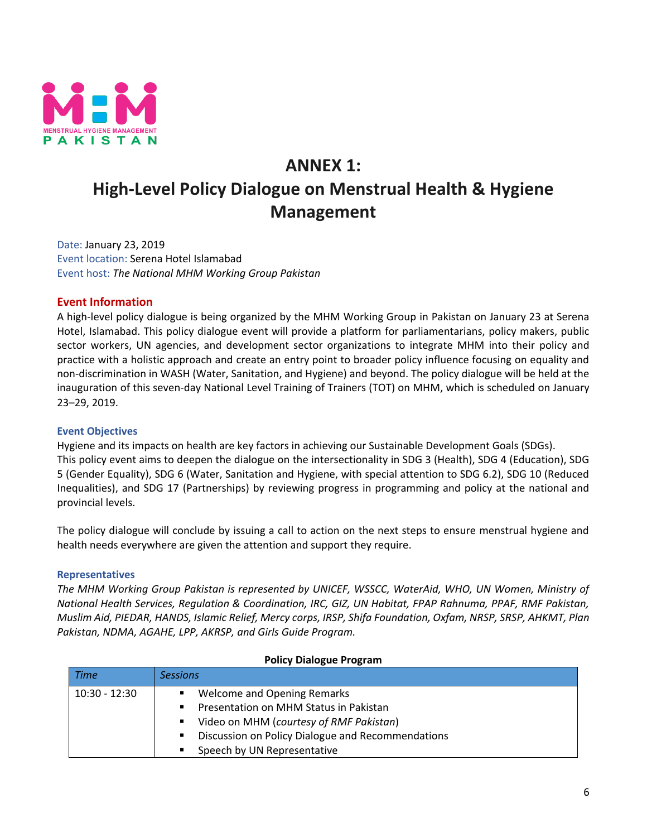

# **ANNEX 1: High-Level Policy Dialogue on Menstrual Health & Hygiene Management**

Date: January 23, 2019 Event location: Serena Hotel Islamabad Event host: *The National MHM Working Group Pakistan*

# **Event Information**

A high-level policy dialogue is being organized by the MHM Working Group in Pakistan on January 23 at Serena Hotel, Islamabad. This policy dialogue event will provide a platform for parliamentarians, policy makers, public sector workers, UN agencies, and development sector organizations to integrate MHM into their policy and practice with a holistic approach and create an entry point to broader policy influence focusing on equality and non-discrimination in WASH (Water, Sanitation, and Hygiene) and beyond. The policy dialogue will be held at the inauguration of this seven-day National Level Training of Trainers (TOT) on MHM, which is scheduled on January 23–29, 2019.

# **Event Objectives**

Hygiene and its impacts on health are key factors in achieving our Sustainable Development Goals (SDGs). This policy event aims to deepen the dialogue on the intersectionality in SDG 3 (Health), SDG 4 (Education), SDG 5 (Gender Equality), SDG 6 (Water, Sanitation and Hygiene, with special attention to SDG 6.2), SDG 10 (Reduced Inequalities), and SDG 17 (Partnerships) by reviewing progress in programming and policy at the national and provincial levels.

The policy dialogue will conclude by issuing a call to action on the next steps to ensure menstrual hygiene and health needs everywhere are given the attention and support they require.

# **Representatives**

*The MHM Working Group Pakistan is represented by UNICEF, WSSCC, WaterAid, WHO, UN Women, Ministry of National Health Services, Regulation & Coordination, IRC, GIZ, UN Habitat, FPAP Rahnuma, PPAF, RMF Pakistan, Muslim Aid, PIEDAR, HANDS, Islamic Relief, Mercy corps, IRSP, Shifa Foundation, Oxfam, NRSP, SRSP, AHKMT, Plan Pakistan, NDMA, AGAHE, LPP, AKRSP, and Girls Guide Program.*

| <b>FUILY DIAIUGUE FIUGIAIII</b> |                                                        |  |
|---------------------------------|--------------------------------------------------------|--|
| <b>Time</b>                     | Sessions                                               |  |
| $10:30 - 12:30$                 | Welcome and Opening Remarks                            |  |
|                                 | Presentation on MHM Status in Pakistan<br>п            |  |
|                                 | Video on MHM (courtesy of RMF Pakistan)<br>٠           |  |
|                                 | Discussion on Policy Dialogue and Recommendations<br>п |  |
|                                 | Speech by UN Representative<br>٠                       |  |

### **Policy Dialogue Program**